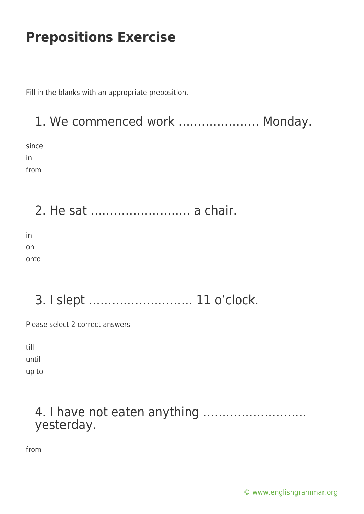Fill in the blanks with an appropriate preposition.

## 1. We commenced work ………………… Monday.

since in from

2. He sat …………………….. a chair.

in on onto

### 3. I slept ……………………… 11 o'clock.

Please select 2 correct answers

till until up to

#### 4. I have not eaten anything ……………………… yesterday.

from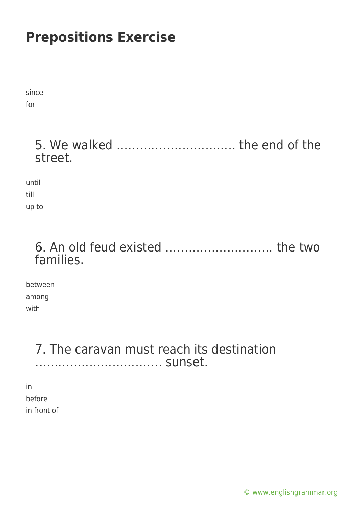since for

### 5. We walked …………………………. the end of the street.

until till up to

#### 6. An old feud existed ………………………. the two families.

between among with

#### 7. The caravan must reach its destination …………………………… sunset.

in before in front of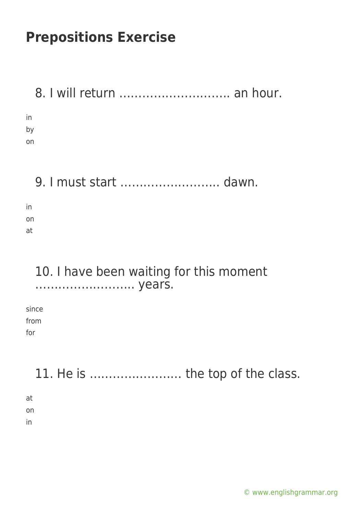| 8. I will return  an hour.                        |
|---------------------------------------------------|
| in<br>by<br>on                                    |
| 9. I must start  dawn.                            |
| in<br>on<br>at                                    |
| 10. I have been waiting for this moment<br>years. |
| since<br>from<br>for                              |
| 11. He is  the top of the class.                  |
| at<br>on<br>in                                    |